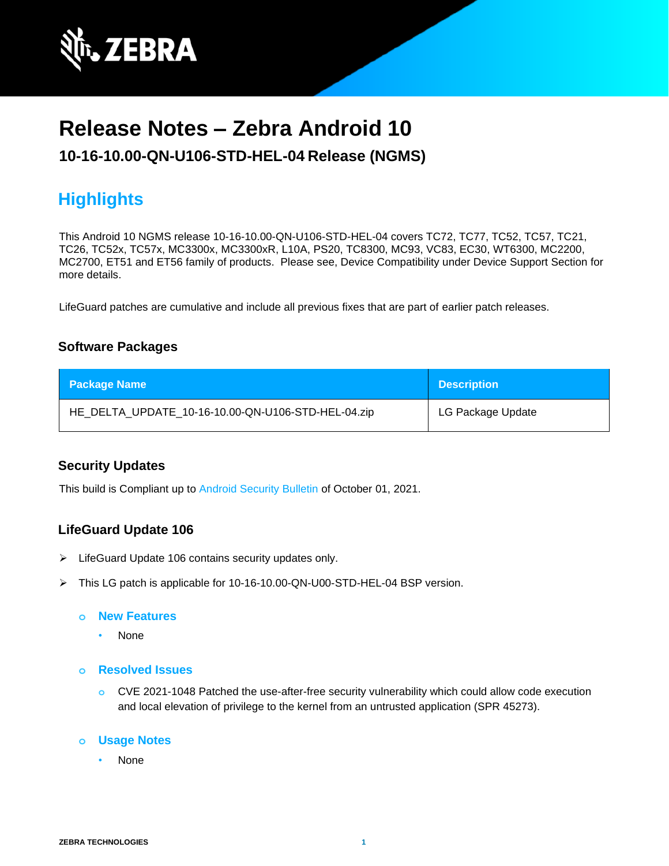

# **Release Notes – Zebra Android 10**

# **10-16-10.00-QN-U106-STD-HEL-04 Release (NGMS)**

# **Highlights**

This Android 10 NGMS release 10-16-10.00-QN-U106-STD-HEL-04 covers TC72, TC77, TC52, TC57, TC21, TC26, TC52x, TC57x, MC3300x, MC3300xR, L10A, PS20, TC8300, MC93, VC83, EC30, WT6300, MC2200, MC2700, ET51 and ET56 family of products. Please see, Device Compatibility under Device Support Section for more details.

LifeGuard patches are cumulative and include all previous fixes that are part of earlier patch releases.

#### **Software Packages**

| <b>Package Name</b>                                | <b>Description</b> |
|----------------------------------------------------|--------------------|
| HE_DELTA_UPDATE_10-16-10.00-QN-U106-STD-HEL-04.zip | LG Package Update  |

#### **Security Updates**

This build is Compliant up to [Android Security Bulletin](https://source.android.com/security/bulletin/) of October 01, 2021.

#### **LifeGuard Update 106**

- ➢ LifeGuard Update 106 contains security updates only.
- ➢ This LG patch is applicable for 10-16-10.00-QN-U00-STD-HEL-04 BSP version.

#### **o New Features**

- None
- **o Resolved Issues**
	- **o** CVE 2021-1048 Patched the use-after-free security vulnerability which could allow code execution and local elevation of privilege to the kernel from an untrusted application (SPR 45273).

#### **o Usage Notes**

• None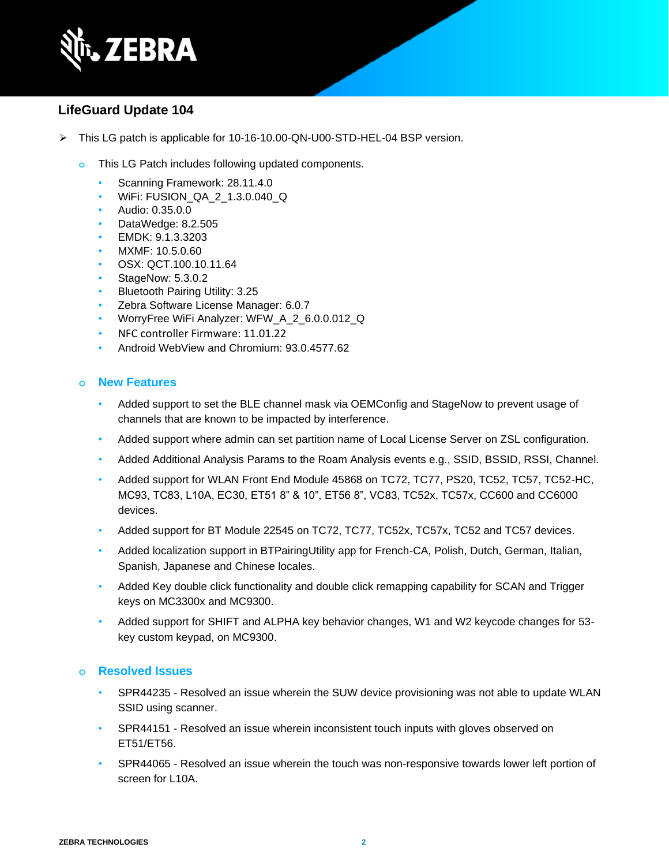

### **LifeGuard Update 104**

- ➢ This LG patch is applicable for 10-16-10.00-QN-U00-STD-HEL-04 BSP version.
	- **o** This LG Patch includes following updated components.
		- Scanning Framework: 28.11.4.0
		- WiFi: FUSION\_QA\_2\_1.3.0.040\_Q
		- Audio: 0.35.0.0
		- DataWedge: 8.2.505
		- EMDK: 9.1.3.3203
		- MXMF: 10.5.0.60
		- OSX: QCT.100.10.11.64
		- StageNow: 5.3.0.2
		- Bluetooth Pairing Utility: 3.25
		- Zebra Software License Manager: 6.0.7
		- WorryFree WiFi Analyzer: WFW\_A\_2\_6.0.0.012\_Q
		- NFC controller Firmware: 11.01.22
		- Android WebView and Chromium: 93.0.4577.62

#### **o New Features**

- Added support to set the BLE channel mask via OEMConfig and StageNow to prevent usage of channels that are known to be impacted by interference.
- Added support where admin can set partition name of Local License Server on ZSL configuration.
- Added Additional Analysis Params to the Roam Analysis events e.g., SSID, BSSID, RSSI, Channel.
- Added support for WLAN Front End Module 45868 on TC72, TC77, PS20, TC52, TC57, TC52-HC, MC93, TC83, L10A, EC30, ET51 8" & 10", ET56 8", VC83, TC52x, TC57x, CC600 and CC6000 devices.
- Added support for BT Module 22545 on TC72, TC77, TC52x, TC57x, TC52 and TC57 devices.
- Added localization support in BTPairingUtility app for French-CA, Polish, Dutch, German, Italian, Spanish, Japanese and Chinese locales.
- Added Key double click functionality and double click remapping capability for SCAN and Trigger keys on MC3300x and MC9300.
- Added support for SHIFT and ALPHA key behavior changes, W1 and W2 keycode changes for 53 key custom keypad, on MC9300.

- SPR44235 Resolved an issue wherein the SUW device provisioning was not able to update WLAN SSID using scanner.
- SPR44151 Resolved an issue wherein inconsistent touch inputs with gloves observed on ET51/ET56.
- SPR44065 Resolved an issue wherein the touch was non-responsive towards lower left portion of screen for L10A.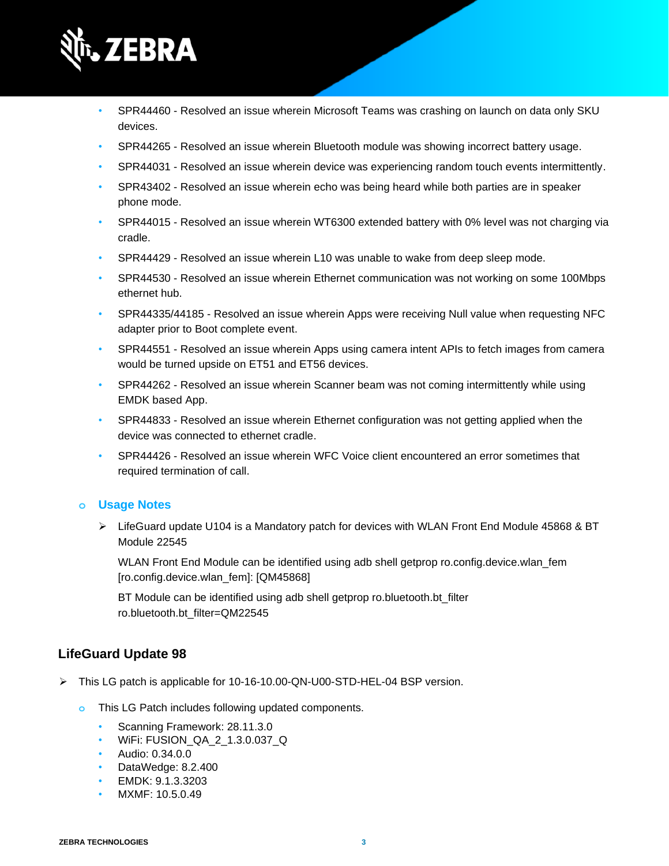

- SPR44460 Resolved an issue wherein Microsoft Teams was crashing on launch on data only SKU devices.
- SPR44265 Resolved an issue wherein Bluetooth module was showing incorrect battery usage.
- SPR44031 Resolved an issue wherein device was experiencing random touch events intermittently.
- SPR43402 Resolved an issue wherein echo was being heard while both parties are in speaker phone mode.
- SPR44015 Resolved an issue wherein WT6300 extended battery with 0% level was not charging via cradle.
- SPR44429 Resolved an issue wherein L10 was unable to wake from deep sleep mode.
- SPR44530 Resolved an issue wherein Ethernet communication was not working on some 100Mbps ethernet hub.
- SPR44335/44185 Resolved an issue wherein Apps were receiving Null value when requesting NFC adapter prior to Boot complete event.
- SPR44551 Resolved an issue wherein Apps using camera intent APIs to fetch images from camera would be turned upside on ET51 and ET56 devices.
- SPR44262 Resolved an issue wherein Scanner beam was not coming intermittently while using EMDK based App.
- SPR44833 Resolved an issue wherein Ethernet configuration was not getting applied when the device was connected to ethernet cradle.
- SPR44426 Resolved an issue wherein WFC Voice client encountered an error sometimes that required termination of call.

 $\triangleright$  LifeGuard update U104 is a Mandatory patch for devices with WLAN Front End Module 45868 & BT Module 22545

WLAN Front End Module can be identified using adb shell getprop ro.config.device.wlan fem [ro.config.device.wlan\_fem]: [QM45868]

BT Module can be identified using adb shell getprop ro.bluetooth.bt filter ro.bluetooth.bt\_filter=QM22545

## **LifeGuard Update 98**

- ➢ This LG patch is applicable for 10-16-10.00-QN-U00-STD-HEL-04 BSP version.
	- **o** This LG Patch includes following updated components.
		- Scanning Framework: 28.11.3.0
		- WiFi: FUSION\_QA\_2\_1.3.0.037\_Q
		- Audio: 0.34.0.0
		- DataWedge: 8.2.400
		- EMDK: 9.1.3.3203
		- MXMF: 10.5.0.49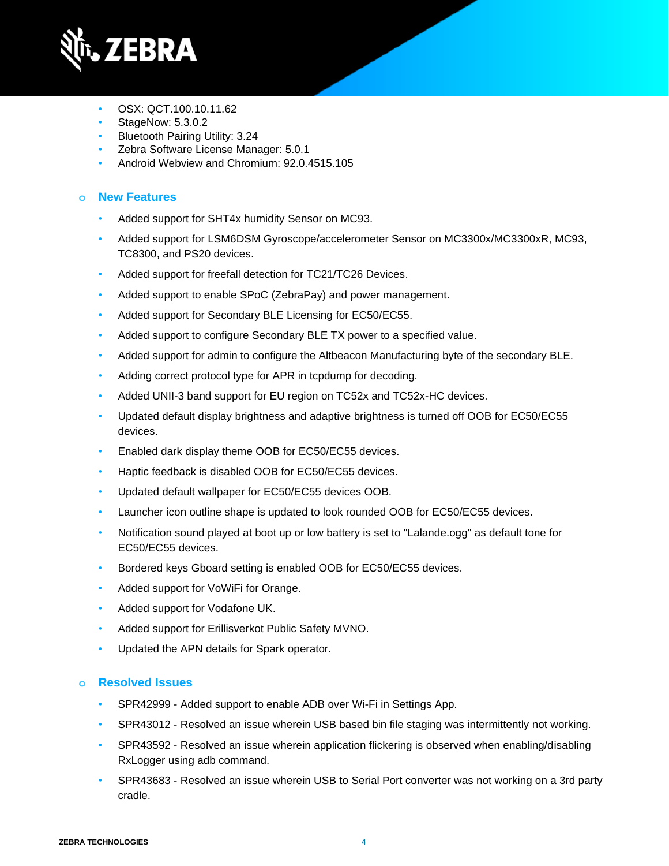

- OSX: QCT.100.10.11.62
- StageNow: 5.3.0.2
- Bluetooth Pairing Utility: 3.24
- Zebra Software License Manager: 5.0.1
- Android Webview and Chromium: 92.0.4515.105

### **o New Features**

- Added support for SHT4x humidity Sensor on MC93.
- Added support for LSM6DSM Gyroscope/accelerometer Sensor on MC3300x/MC3300xR, MC93, TC8300, and PS20 devices.
- Added support for freefall detection for TC21/TC26 Devices.
- Added support to enable SPoC (ZebraPay) and power management.
- Added support for Secondary BLE Licensing for EC50/EC55.
- Added support to configure Secondary BLE TX power to a specified value.
- Added support for admin to configure the Altbeacon Manufacturing byte of the secondary BLE.
- Adding correct protocol type for APR in tcpdump for decoding.
- Added UNII-3 band support for EU region on TC52x and TC52x-HC devices.
- Updated default display brightness and adaptive brightness is turned off OOB for EC50/EC55 devices.
- Enabled dark display theme OOB for EC50/EC55 devices.
- Haptic feedback is disabled OOB for EC50/EC55 devices.
- Updated default wallpaper for EC50/EC55 devices OOB.
- Launcher icon outline shape is updated to look rounded OOB for EC50/EC55 devices.
- Notification sound played at boot up or low battery is set to "Lalande.ogg" as default tone for EC50/EC55 devices.
- Bordered keys Gboard setting is enabled OOB for EC50/EC55 devices.
- Added support for VoWiFi for Orange.
- Added support for Vodafone UK.
- Added support for Erillisverkot Public Safety MVNO.
- Updated the APN details for Spark operator.

- SPR42999 Added support to enable ADB over Wi-Fi in Settings App.
- SPR43012 Resolved an issue wherein USB based bin file staging was intermittently not working.
- SPR43592 Resolved an issue wherein application flickering is observed when enabling/disabling RxLogger using adb command.
- SPR43683 Resolved an issue wherein USB to Serial Port converter was not working on a 3rd party cradle.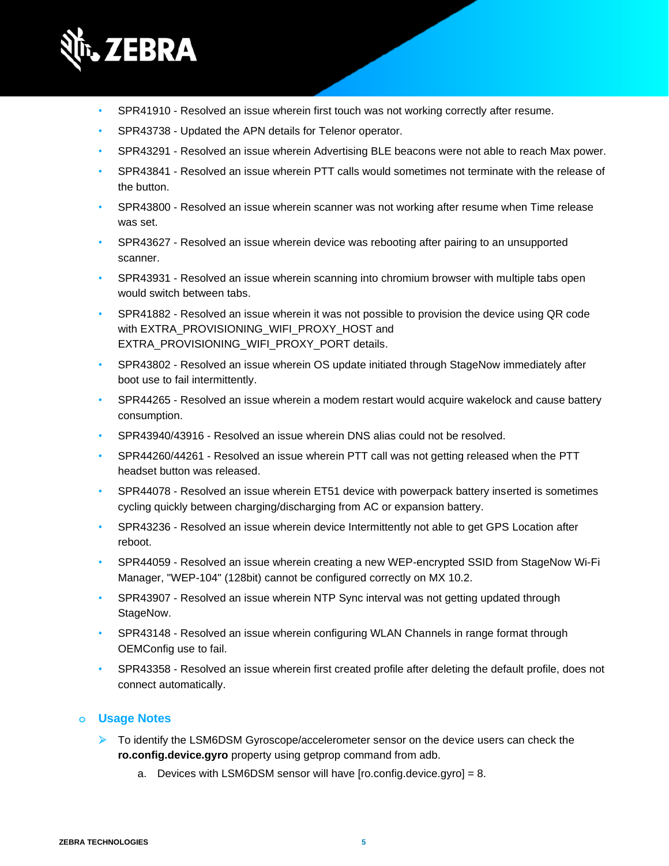

- SPR41910 Resolved an issue wherein first touch was not working correctly after resume.
- SPR43738 Updated the APN details for Telenor operator.
- SPR43291 Resolved an issue wherein Advertising BLE beacons were not able to reach Max power.
- SPR43841 Resolved an issue wherein PTT calls would sometimes not terminate with the release of the button.
- SPR43800 Resolved an issue wherein scanner was not working after resume when Time release was set.
- SPR43627 Resolved an issue wherein device was rebooting after pairing to an unsupported scanner.
- SPR43931 Resolved an issue wherein scanning into chromium browser with multiple tabs open would switch between tabs.
- SPR41882 Resolved an issue wherein it was not possible to provision the device using QR code with EXTRA\_PROVISIONING\_WIFI\_PROXY\_HOST and EXTRA\_PROVISIONING\_WIFI\_PROXY\_PORT details.
- SPR43802 Resolved an issue wherein OS update initiated through StageNow immediately after boot use to fail intermittently.
- SPR44265 Resolved an issue wherein a modem restart would acquire wakelock and cause battery consumption.
- SPR43940/43916 Resolved an issue wherein DNS alias could not be resolved.
- SPR44260/44261 Resolved an issue wherein PTT call was not getting released when the PTT headset button was released.
- SPR44078 Resolved an issue wherein ET51 device with powerpack battery inserted is sometimes cycling quickly between charging/discharging from AC or expansion battery.
- SPR43236 Resolved an issue wherein device Intermittently not able to get GPS Location after reboot.
- SPR44059 Resolved an issue wherein creating a new WEP-encrypted SSID from StageNow Wi-Fi Manager, "WEP-104" (128bit) cannot be configured correctly on MX 10.2.
- SPR43907 Resolved an issue wherein NTP Sync interval was not getting updated through StageNow.
- SPR43148 Resolved an issue wherein configuring WLAN Channels in range format through OEMConfig use to fail.
- SPR43358 Resolved an issue wherein first created profile after deleting the default profile, does not connect automatically.

- ➢ To identify the LSM6DSM Gyroscope/accelerometer sensor on the device users can check the **ro.config.device.gyro** property using getprop command from adb.
	- a. Devices with LSM6DSM sensor will have [ro.config.device.gyro] = 8.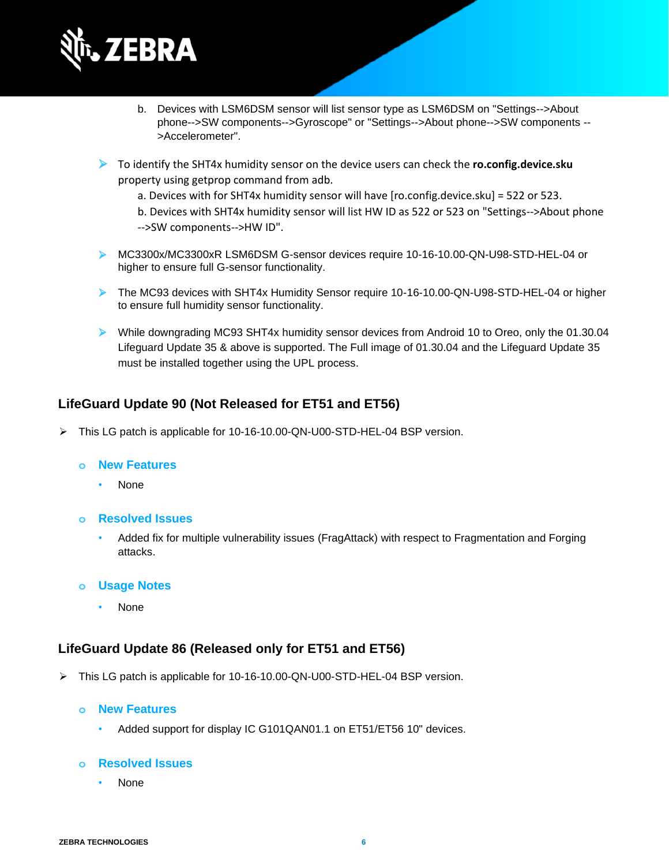

- b. Devices with LSM6DSM sensor will list sensor type as LSM6DSM on "Settings-->About phone-->SW components-->Gyroscope" or "Settings-->About phone-->SW components -- >Accelerometer".
- ➢ To identify the SHT4x humidity sensor on the device users can check the **ro.config.device.sku** property using getprop command from adb.
	- a. Devices with for SHT4x humidity sensor will have [ro.config.device.sku] = 522 or 523.
	- b. Devices with SHT4x humidity sensor will list HW ID as 522 or 523 on "Settings-->About phone -->SW components-->HW ID".
- ➢ MC3300x/MC3300xR LSM6DSM G-sensor devices require 10-16-10.00-QN-U98-STD-HEL-04 or higher to ensure full G-sensor functionality.
- ➢ The MC93 devices with SHT4x Humidity Sensor require 10-16-10.00-QN-U98-STD-HEL-04 or higher to ensure full humidity sensor functionality.
- ➢ While downgrading MC93 SHT4x humidity sensor devices from Android 10 to Oreo, only the 01.30.04 Lifeguard Update 35 & above is supported. The Full image of 01.30.04 and the Lifeguard Update 35 must be installed together using the UPL process.

#### **LifeGuard Update 90 (Not Released for ET51 and ET56)**

➢ This LG patch is applicable for 10-16-10.00-QN-U00-STD-HEL-04 BSP version.

#### **o New Features**

- None
- **o Resolved Issues**
	- Added fix for multiple vulnerability issues (FragAttack) with respect to Fragmentation and Forging attacks.
- **o Usage Notes**
	- None

#### **LifeGuard Update 86 (Released only for ET51 and ET56)**

- ➢ This LG patch is applicable for 10-16-10.00-QN-U00-STD-HEL-04 BSP version.
	- **o New Features**
		- Added support for display IC G101QAN01.1 on ET51/ET56 10" devices.

#### **o Resolved Issues**

• None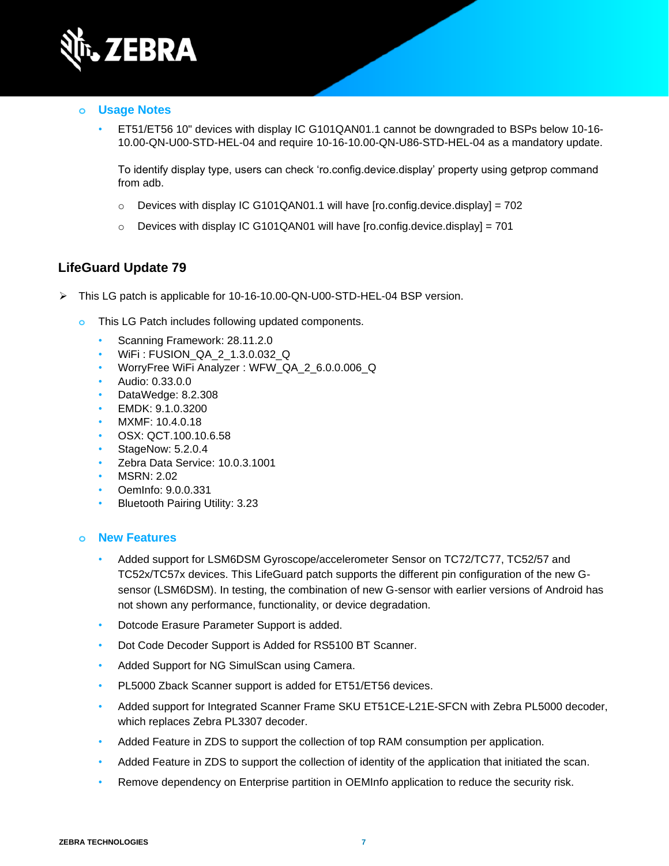

• ET51/ET56 10" devices with display IC G101QAN01.1 cannot be downgraded to BSPs below 10-16- 10.00-QN-U00-STD-HEL-04 and require 10-16-10.00-QN-U86-STD-HEL-04 as a mandatory update.

To identify display type, users can check 'ro.config.device.display' property using getprop command from adb.

- $\circ$  Devices with display IC G101QAN01.1 will have [ro.config.device.display] = 702
- o Devices with display IC G101QAN01 will have [ro.config.device.display] = 701

#### **LifeGuard Update 79**

- ➢ This LG patch is applicable for 10-16-10.00-QN-U00-STD-HEL-04 BSP version.
	- **o** This LG Patch includes following updated components.
		- Scanning Framework: 28.11.2.0
		- WiFi : FUSION\_QA\_2\_1.3.0.032\_Q
		- WorryFree WiFi Analyzer : WFW\_QA\_2\_6.0.0.006\_Q
		- Audio: 0.33.0.0
		- DataWedge: 8.2.308
		- EMDK: 9.1.0.3200
		- MXMF: 10.4.0.18
		- OSX: QCT.100.10.6.58
		- StageNow: 5.2.0.4
		- Zebra Data Service: 10.0.3.1001
		- MSRN: 2.02
		- OemInfo: 9.0.0.331
		- Bluetooth Pairing Utility: 3.23

#### **o New Features**

- Added support for LSM6DSM Gyroscope/accelerometer Sensor on TC72/TC77, TC52/57 and TC52x/TC57x devices. This LifeGuard patch supports the different pin configuration of the new Gsensor (LSM6DSM). In testing, the combination of new G-sensor with earlier versions of Android has not shown any performance, functionality, or device degradation.
- Dotcode Erasure Parameter Support is added.
- Dot Code Decoder Support is Added for RS5100 BT Scanner.
- Added Support for NG SimulScan using Camera.
- PL5000 Zback Scanner support is added for ET51/ET56 devices.
- Added support for Integrated Scanner Frame SKU ET51CE-L21E-SFCN with Zebra PL5000 decoder, which replaces Zebra PL3307 decoder.
- Added Feature in ZDS to support the collection of top RAM consumption per application.
- Added Feature in ZDS to support the collection of identity of the application that initiated the scan.
- Remove dependency on Enterprise partition in OEMInfo application to reduce the security risk.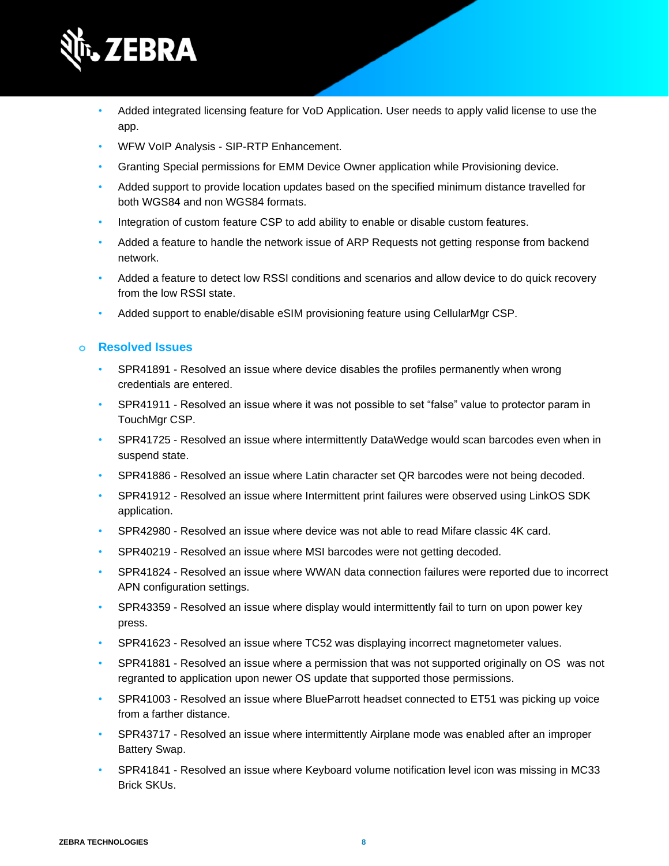

- Added integrated licensing feature for VoD Application. User needs to apply valid license to use the app.
- WFW VoIP Analysis SIP-RTP Enhancement.
- Granting Special permissions for EMM Device Owner application while Provisioning device.
- Added support to provide location updates based on the specified minimum distance travelled for both WGS84 and non WGS84 formats.
- Integration of custom feature CSP to add ability to enable or disable custom features.
- Added a feature to handle the network issue of ARP Requests not getting response from backend network.
- Added a feature to detect low RSSI conditions and scenarios and allow device to do quick recovery from the low RSSI state.
- Added support to enable/disable eSIM provisioning feature using CellularMgr CSP.

- SPR41891 Resolved an issue where device disables the profiles permanently when wrong credentials are entered.
- SPR41911 Resolved an issue where it was not possible to set "false" value to protector param in TouchMgr CSP.
- SPR41725 Resolved an issue where intermittently DataWedge would scan barcodes even when in suspend state.
- SPR41886 Resolved an issue where Latin character set QR barcodes were not being decoded.
- SPR41912 Resolved an issue where Intermittent print failures were observed using LinkOS SDK application.
- SPR42980 Resolved an issue where device was not able to read Mifare classic 4K card.
- SPR40219 Resolved an issue where MSI barcodes were not getting decoded.
- SPR41824 Resolved an issue where WWAN data connection failures were reported due to incorrect APN configuration settings.
- SPR43359 Resolved an issue where display would intermittently fail to turn on upon power key press.
- SPR41623 Resolved an issue where TC52 was displaying incorrect magnetometer values.
- SPR41881 Resolved an issue where a permission that was not supported originally on OS was not regranted to application upon newer OS update that supported those permissions.
- SPR41003 Resolved an issue where BlueParrott headset connected to ET51 was picking up voice from a farther distance.
- SPR43717 Resolved an issue where intermittently Airplane mode was enabled after an improper Battery Swap.
- SPR41841 Resolved an issue where Keyboard volume notification level icon was missing in MC33 Brick SKUs.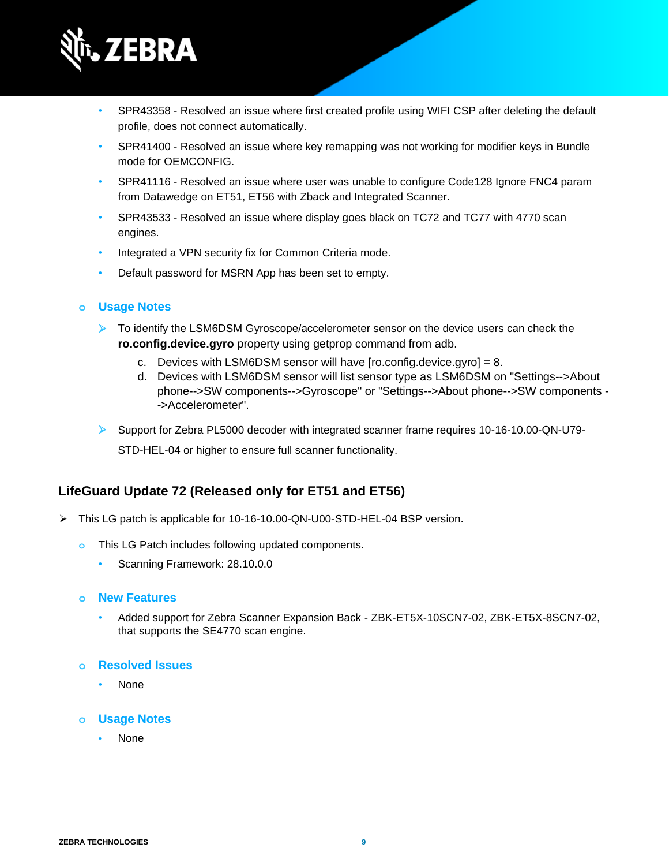

- SPR43358 Resolved an issue where first created profile using WIFI CSP after deleting the default profile, does not connect automatically.
- SPR41400 Resolved an issue where key remapping was not working for modifier keys in Bundle mode for OEMCONFIG.
- SPR41116 Resolved an issue where user was unable to configure Code128 Ignore FNC4 param from Datawedge on ET51, ET56 with Zback and Integrated Scanner.
- SPR43533 Resolved an issue where display goes black on TC72 and TC77 with 4770 scan engines.
- Integrated a VPN security fix for Common Criteria mode.
- Default password for MSRN App has been set to empty.

- ➢ To identify the LSM6DSM Gyroscope/accelerometer sensor on the device users can check the **ro.config.device.gyro** property using getprop command from adb.
	- c. Devices with LSM6DSM sensor will have [ro.config.device.gyro] = 8.
	- d. Devices with LSM6DSM sensor will list sensor type as LSM6DSM on "Settings-->About phone-->SW components-->Gyroscope" or "Settings-->About phone-->SW components - ->Accelerometer".
- ➢ Support for Zebra PL5000 decoder with integrated scanner frame requires 10-16-10.00-QN-U79-

STD-HEL-04 or higher to ensure full scanner functionality.

#### **LifeGuard Update 72 (Released only for ET51 and ET56)**

- ➢ This LG patch is applicable for 10-16-10.00-QN-U00-STD-HEL-04 BSP version.
	- **o** This LG Patch includes following updated components.
		- Scanning Framework: 28.10.0.0
	- **o New Features**
		- Added support for Zebra Scanner Expansion Back ZBK-ET5X-10SCN7-02, ZBK-ET5X-8SCN7-02, that supports the SE4770 scan engine.
	- **o Resolved Issues**
		- None
	- **o Usage Notes**
		- None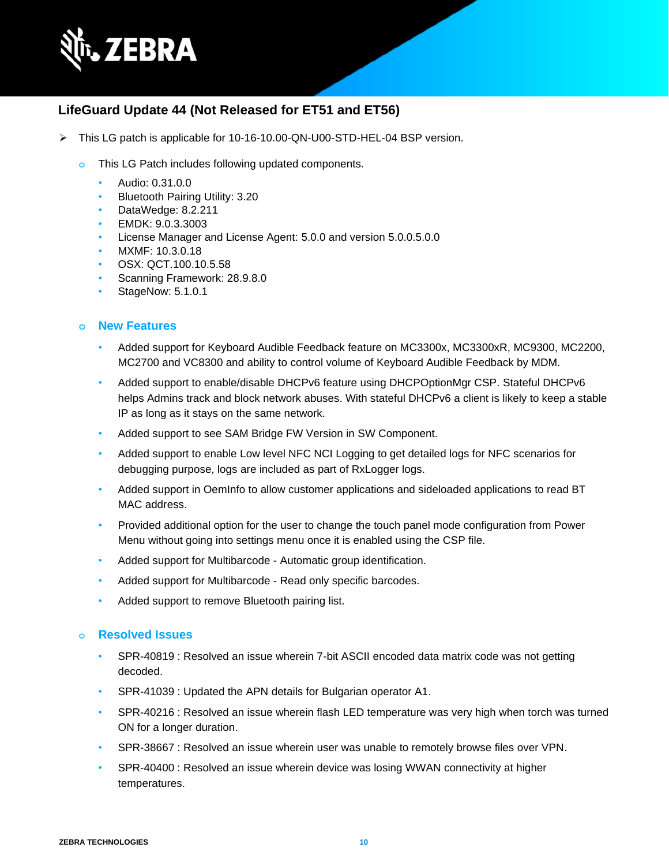

## **LifeGuard Update 44 (Not Released for ET51 and ET56)**

- ➢ This LG patch is applicable for 10-16-10.00-QN-U00-STD-HEL-04 BSP version.
	- **o** This LG Patch includes following updated components.
		- Audio: 0.31.0.0
		- Bluetooth Pairing Utility: 3.20
		- DataWedge: 8.2.211
		- EMDK: 9.0.3.3003
		- License Manager and License Agent: 5.0.0 and version 5.0.0.5.0.0
		- MXMF: 10.3.0.18
		- OSX: QCT.100.10.5.58
		- Scanning Framework: 28.9.8.0
		- StageNow: 5.1.0.1

#### **o New Features**

- Added support for Keyboard Audible Feedback feature on MC3300x, MC3300xR, MC9300, MC2200, MC2700 and VC8300 and ability to control volume of Keyboard Audible Feedback by MDM.
- Added support to enable/disable DHCPv6 feature using DHCPOptionMgr CSP. Stateful DHCPv6 helps Admins track and block network abuses. With stateful DHCPv6 a client is likely to keep a stable IP as long as it stays on the same network.
- Added support to see SAM Bridge FW Version in SW Component.
- Added support to enable Low level NFC NCI Logging to get detailed logs for NFC scenarios for debugging purpose, logs are included as part of RxLogger logs.
- Added support in OemInfo to allow customer applications and sideloaded applications to read BT MAC address.
- Provided additional option for the user to change the touch panel mode configuration from Power Menu without going into settings menu once it is enabled using the CSP file.
- Added support for Multibarcode Automatic group identification.
- Added support for Multibarcode Read only specific barcodes.
- Added support to remove Bluetooth pairing list.

- SPR-40819 : Resolved an issue wherein 7-bit ASCII encoded data matrix code was not getting decoded.
- SPR-41039 : Updated the APN details for Bulgarian operator A1.
- SPR-40216 : Resolved an issue wherein flash LED temperature was very high when torch was turned ON for a longer duration.
- SPR-38667 : Resolved an issue wherein user was unable to remotely browse files over VPN.
- SPR-40400 : Resolved an issue wherein device was losing WWAN connectivity at higher temperatures.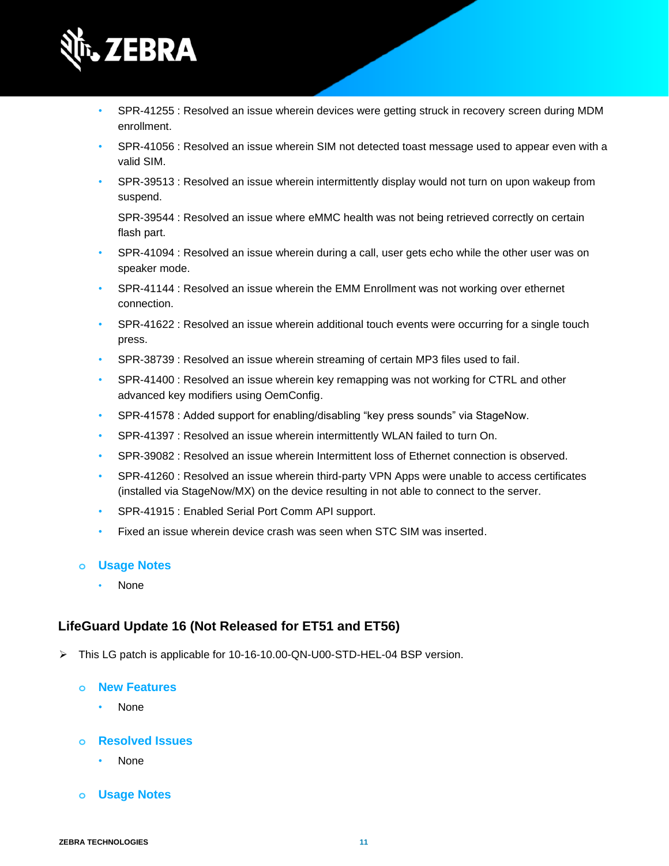

- SPR-41255 : Resolved an issue wherein devices were getting struck in recovery screen during MDM enrollment.
- SPR-41056 : Resolved an issue wherein SIM not detected toast message used to appear even with a valid SIM.
- SPR-39513 : Resolved an issue wherein intermittently display would not turn on upon wakeup from suspend.

SPR-39544 : Resolved an issue where eMMC health was not being retrieved correctly on certain flash part.

- SPR-41094 : Resolved an issue wherein during a call, user gets echo while the other user was on speaker mode.
- SPR-41144 : Resolved an issue wherein the EMM Enrollment was not working over ethernet connection.
- SPR-41622 : Resolved an issue wherein additional touch events were occurring for a single touch press.
- SPR-38739 : Resolved an issue wherein streaming of certain MP3 files used to fail.
- SPR-41400 : Resolved an issue wherein key remapping was not working for CTRL and other advanced key modifiers using OemConfig.
- SPR-41578 : Added support for enabling/disabling "key press sounds" via StageNow.
- SPR-41397 : Resolved an issue wherein intermittently WLAN failed to turn On.
- SPR-39082 : Resolved an issue wherein Intermittent loss of Ethernet connection is observed.
- SPR-41260 : Resolved an issue wherein third-party VPN Apps were unable to access certificates (installed via StageNow/MX) on the device resulting in not able to connect to the server.
- SPR-41915 : Enabled Serial Port Comm API support.
- Fixed an issue wherein device crash was seen when STC SIM was inserted.

#### **o Usage Notes**

• None

#### **LifeGuard Update 16 (Not Released for ET51 and ET56)**

➢ This LG patch is applicable for 10-16-10.00-QN-U00-STD-HEL-04 BSP version.

#### **o New Features**

- None
- **o Resolved Issues**
	- None
- **o Usage Notes**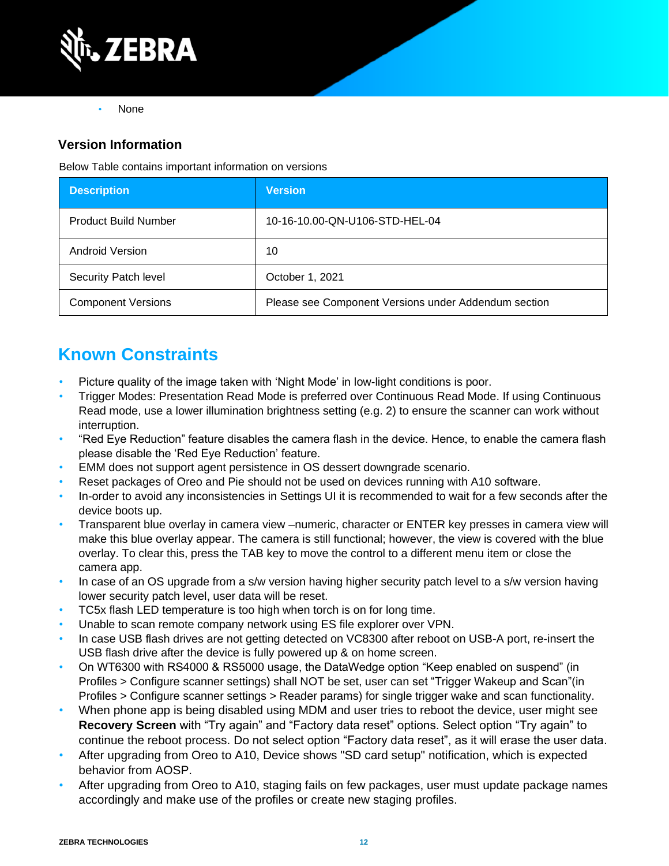

• None

## **Version Information**

Below Table contains important information on versions

| <b>Description</b>          | <b>Version</b>                                       |
|-----------------------------|------------------------------------------------------|
| <b>Product Build Number</b> | 10-16-10.00-QN-U106-STD-HEL-04                       |
| <b>Android Version</b>      | 10                                                   |
| Security Patch level        | October 1, 2021                                      |
| <b>Component Versions</b>   | Please see Component Versions under Addendum section |

# **Known Constraints**

- Picture quality of the image taken with 'Night Mode' in low-light conditions is poor.
- Trigger Modes: Presentation Read Mode is preferred over Continuous Read Mode. If using Continuous Read mode, use a lower illumination brightness setting (e.g. 2) to ensure the scanner can work without interruption.
- "Red Eye Reduction" feature disables the camera flash in the device. Hence, to enable the camera flash please disable the 'Red Eye Reduction' feature.
- EMM does not support agent persistence in OS dessert downgrade scenario.
- Reset packages of Oreo and Pie should not be used on devices running with A10 software.
- In-order to avoid any inconsistencies in Settings UI it is recommended to wait for a few seconds after the device boots up.
- Transparent blue overlay in camera view –numeric, character or ENTER key presses in camera view will make this blue overlay appear. The camera is still functional; however, the view is covered with the blue overlay. To clear this, press the TAB key to move the control to a different menu item or close the camera app.
- In case of an OS upgrade from a s/w version having higher security patch level to a s/w version having lower security patch level, user data will be reset.
- TC5x flash LED temperature is too high when torch is on for long time.
- Unable to scan remote company network using ES file explorer over VPN.
- In case USB flash drives are not getting detected on VC8300 after reboot on USB-A port, re-insert the USB flash drive after the device is fully powered up & on home screen.
- On WT6300 with RS4000 & RS5000 usage, the DataWedge option "Keep enabled on suspend" (in Profiles > Configure scanner settings) shall NOT be set, user can set "Trigger Wakeup and Scan"(in Profiles > Configure scanner settings > Reader params) for single trigger wake and scan functionality.
- When phone app is being disabled using MDM and user tries to reboot the device, user might see **Recovery Screen** with "Try again" and "Factory data reset" options. Select option "Try again" to continue the reboot process. Do not select option "Factory data reset", as it will erase the user data.
- After upgrading from Oreo to A10, Device shows "SD card setup" notification, which is expected behavior from AOSP.
- After upgrading from Oreo to A10, staging fails on few packages, user must update package names accordingly and make use of the profiles or create new staging profiles.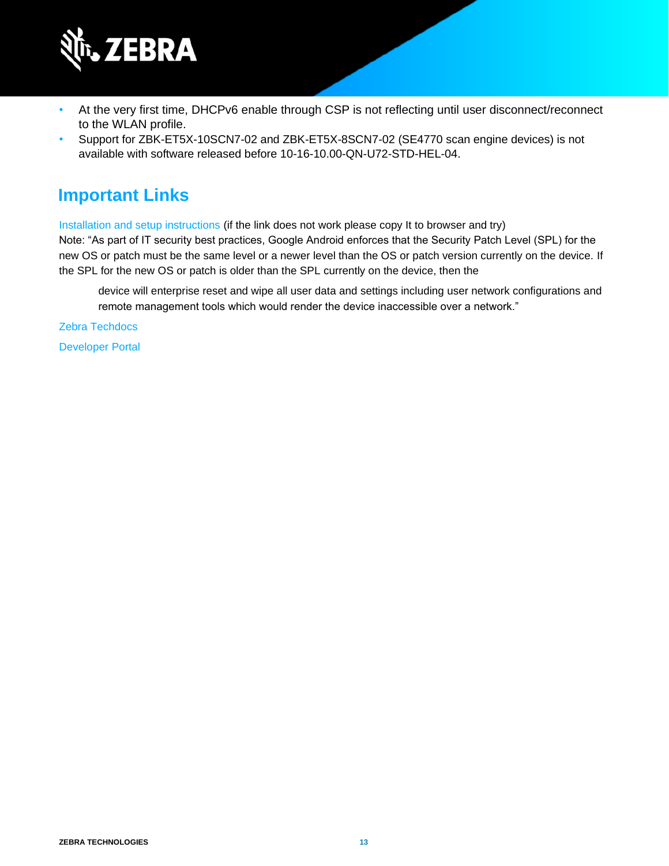

- At the very first time, DHCPv6 enable through CSP is not reflecting until user disconnect/reconnect to the WLAN profile.
- Support for ZBK-ET5X-10SCN7-02 and ZBK-ET5X-8SCN7-02 (SE4770 scan engine devices) is not available with software released before 10-16-10.00-QN-U72-STD-HEL-04.

# **Important Links**

[Installation and setup instructions](https://www.zebra.com/content/dam/zebra_new_ia/en-us/software/operating-system/helios/a10-os-update-instructions.pdf) (if the link does not work please copy It to browser and try)

Note: "As part of IT security best practices, Google Android enforces that the Security Patch Level (SPL) for the new OS or patch must be the same level or a newer level than the OS or patch version currently on the device. If the SPL for the new OS or patch is older than the SPL currently on the device, then the

device will enterprise reset and wipe all user data and settings including user network configurations and remote management tools which would render the device inaccessible over a network."

[Zebra Techdocs](http://techdocs.zebra.com/)

[Developer Portal](http://developer.zebra.com/)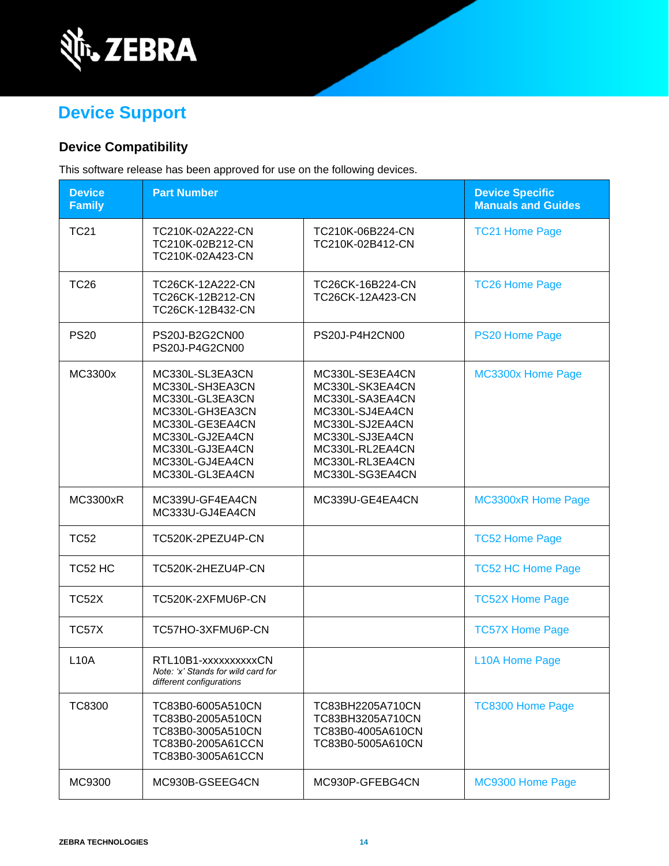

# **Device Support**

# **Device Compatibility**

This software release has been approved for use on the following devices.

| <b>Device</b><br><b>Family</b> | <b>Part Number</b>                                                                                                                                                      |                                                                                                                                                                         | <b>Device Specific</b><br><b>Manuals and Guides</b> |
|--------------------------------|-------------------------------------------------------------------------------------------------------------------------------------------------------------------------|-------------------------------------------------------------------------------------------------------------------------------------------------------------------------|-----------------------------------------------------|
| <b>TC21</b>                    | TC210K-02A222-CN<br>TC210K-02B212-CN<br>TC210K-02A423-CN                                                                                                                | TC210K-06B224-CN<br>TC210K-02B412-CN                                                                                                                                    | <b>TC21 Home Page</b>                               |
| <b>TC26</b>                    | TC26CK-12A222-CN<br>TC26CK-12B212-CN<br>TC26CK-12B432-CN                                                                                                                | TC26CK-16B224-CN<br>TC26CK-12A423-CN                                                                                                                                    | <b>TC26 Home Page</b>                               |
| <b>PS20</b>                    | PS20J-B2G2CN00<br>PS20J-P4G2CN00                                                                                                                                        | PS20J-P4H2CN00                                                                                                                                                          | PS20 Home Page                                      |
| MC3300x                        | MC330L-SL3EA3CN<br>MC330L-SH3EA3CN<br>MC330L-GL3EA3CN<br>MC330L-GH3EA3CN<br>MC330L-GE3EA4CN<br>MC330L-GJ2EA4CN<br>MC330L-GJ3EA4CN<br>MC330L-GJ4EA4CN<br>MC330L-GL3EA4CN | MC330L-SE3EA4CN<br>MC330L-SK3EA4CN<br>MC330L-SA3EA4CN<br>MC330L-SJ4EA4CN<br>MC330L-SJ2EA4CN<br>MC330L-SJ3EA4CN<br>MC330L-RL2EA4CN<br>MC330L-RL3EA4CN<br>MC330L-SG3EA4CN | MC3300x Home Page                                   |
| <b>MC3300xR</b>                | MC339U-GF4EA4CN<br>MC333U-GJ4EA4CN                                                                                                                                      | MC339U-GE4EA4CN                                                                                                                                                         | <b>MC3300xR Home Page</b>                           |
| <b>TC52</b>                    | TC520K-2PEZU4P-CN                                                                                                                                                       |                                                                                                                                                                         | <b>TC52 Home Page</b>                               |
| TC52 HC                        | TC520K-2HEZU4P-CN                                                                                                                                                       |                                                                                                                                                                         | <b>TC52 HC Home Page</b>                            |
| <b>TC52X</b>                   | TC520K-2XFMU6P-CN                                                                                                                                                       |                                                                                                                                                                         | <b>TC52X Home Page</b>                              |
| TC57X                          | TC57HO-3XFMU6P-CN                                                                                                                                                       |                                                                                                                                                                         | <b>TC57X Home Page</b>                              |
| <b>L10A</b>                    | RTL10B1-xxxxxxxxxxCN<br>Note: 'x' Stands for wild card for<br>different configurations                                                                                  |                                                                                                                                                                         | <b>L10A Home Page</b>                               |
| <b>TC8300</b>                  | TC83B0-6005A510CN<br>TC83B0-2005A510CN<br>TC83B0-3005A510CN<br>TC83B0-2005A61CCN<br>TC83B0-3005A61CCN                                                                   | TC83BH2205A710CN<br>TC83BH3205A710CN<br>TC83B0-4005A610CN<br>TC83B0-5005A610CN                                                                                          | <b>TC8300 Home Page</b>                             |
| MC9300                         | MC930B-GSEEG4CN                                                                                                                                                         | MC930P-GFEBG4CN                                                                                                                                                         | MC9300 Home Page                                    |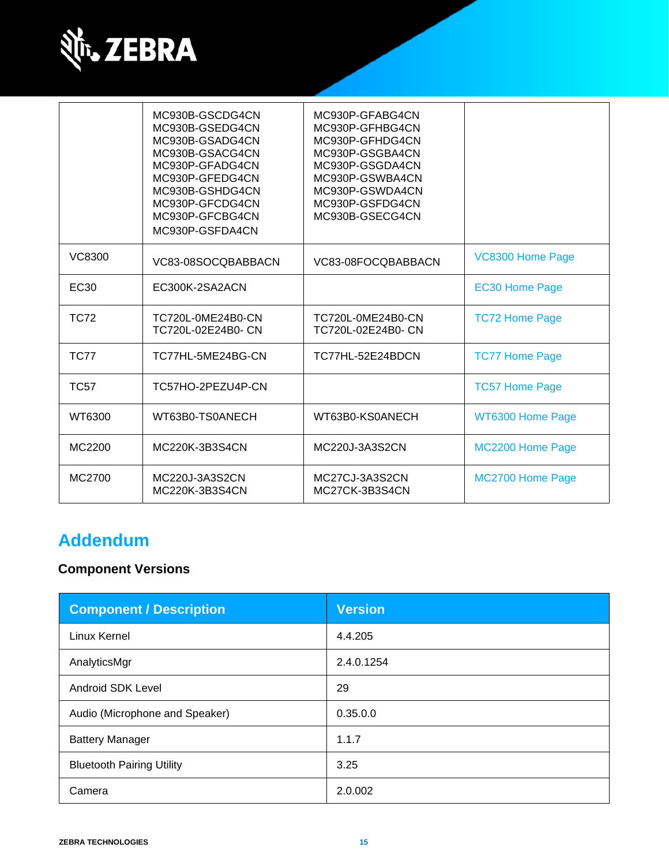

|             | MC930B-GSCDG4CN<br>MC930B-GSEDG4CN<br>MC930B-GSADG4CN<br>MC930B-GSACG4CN<br>MC930P-GFADG4CN<br>MC930P-GFEDG4CN<br>MC930B-GSHDG4CN<br>MC930P-GFCDG4CN<br>MC930P-GFCBG4CN<br>MC930P-GSFDA4CN | MC930P-GFABG4CN<br>MC930P-GFHBG4CN<br>MC930P-GFHDG4CN<br>MC930P-GSGBA4CN<br>MC930P-GSGDA4CN<br>MC930P-GSWBA4CN<br>MC930P-GSWDA4CN<br>MC930P-GSFDG4CN<br>MC930B-GSECG4CN |                       |
|-------------|--------------------------------------------------------------------------------------------------------------------------------------------------------------------------------------------|-------------------------------------------------------------------------------------------------------------------------------------------------------------------------|-----------------------|
| VC8300      | VC83-08SOCQBABBACN                                                                                                                                                                         | VC83-08FOCQBABBACN                                                                                                                                                      | VC8300 Home Page      |
| EC30        | EC300K-2SA2ACN                                                                                                                                                                             |                                                                                                                                                                         | <b>EC30 Home Page</b> |
| <b>TC72</b> | TC720L-0ME24B0-CN<br>TC720L-02E24B0- CN                                                                                                                                                    | TC720L-0ME24B0-CN<br>TC720L-02E24B0- CN                                                                                                                                 | <b>TC72 Home Page</b> |
| <b>TC77</b> | TC77HL-5ME24BG-CN                                                                                                                                                                          | TC77HL-52E24BDCN                                                                                                                                                        | <b>TC77 Home Page</b> |
| <b>TC57</b> | TC57HO-2PEZU4P-CN                                                                                                                                                                          |                                                                                                                                                                         | <b>TC57 Home Page</b> |
| WT6300      | WT63B0-TS0ANECH                                                                                                                                                                            | WT63B0-KS0ANECH                                                                                                                                                         | WT6300 Home Page      |
| MC2200      | MC220K-3B3S4CN                                                                                                                                                                             | MC220J-3A3S2CN                                                                                                                                                          | MC2200 Home Page      |
| MC2700      | MC220J-3A3S2CN<br>MC220K-3B3S4CN                                                                                                                                                           | MC27CJ-3A3S2CN<br>MC27CK-3B3S4CN                                                                                                                                        | MC2700 Home Page      |

# **Addendum**

# **Component Versions**

| <b>Component / Description</b>   | <b>Version</b> |
|----------------------------------|----------------|
| <b>Linux Kernel</b>              | 4.4.205        |
| AnalyticsMgr                     | 2.4.0.1254     |
| Android SDK Level                | 29             |
| Audio (Microphone and Speaker)   | 0.35.0.0       |
| <b>Battery Manager</b>           | 1.1.7          |
| <b>Bluetooth Pairing Utility</b> | 3.25           |
| Camera                           | 2.0.002        |